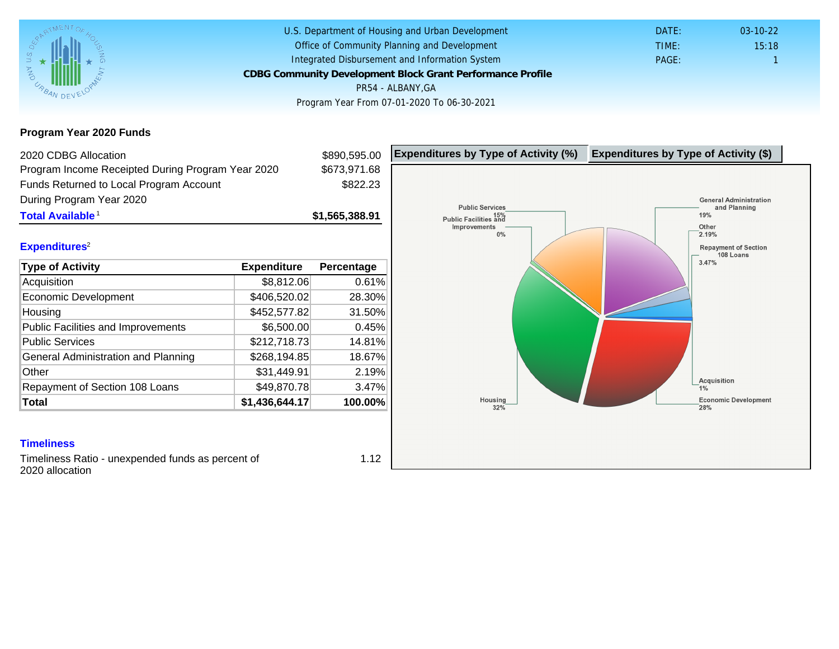Program Year 2020 Funds

| 2020 CDBG Allocation                              |                | \$890,595.00   | Expenditures by Type of Activity (%) | Expenditure |
|---------------------------------------------------|----------------|----------------|--------------------------------------|-------------|
| Program Income Receipted During Program Year 2020 |                | \$673,971.68   |                                      |             |
| Funds Returned to Local Program Account           |                | \$822.23       |                                      |             |
| During Program Year 2020                          |                |                |                                      |             |
| Total Available <sup>1</sup>                      |                | \$1,565,388.91 |                                      |             |
| Expenditures <sup>2</sup>                         |                |                |                                      |             |
| Type of Activity                                  | Expenditure    | Percentage     |                                      |             |
| Acquisition                                       | \$8,812.06     | 0.61%          |                                      |             |
| Economic Development                              | \$406,520.02   | 28.30%         |                                      |             |
| Housing                                           | \$452,577.82   | 31.50%         |                                      |             |
| <b>Public Facilities and Improvements</b>         | \$6,500.00     | 0.45%          |                                      |             |
| <b>Public Services</b>                            | \$212,718.73   | 14.81%         |                                      |             |
| General Administration and Planning               | \$268,194.85   | 18.67%         |                                      |             |
| Other                                             | \$31,449.91    | 2.19%          |                                      |             |
| Repayment of Section 108 Loans                    | \$49,870.78    | 3.47%          |                                      |             |
| Total                                             | \$1,436,644.17 | 100.00%        |                                      |             |

## **Timeliness**

Timeliness Ratio - unexpended funds as percent of 2020 allocation

1.12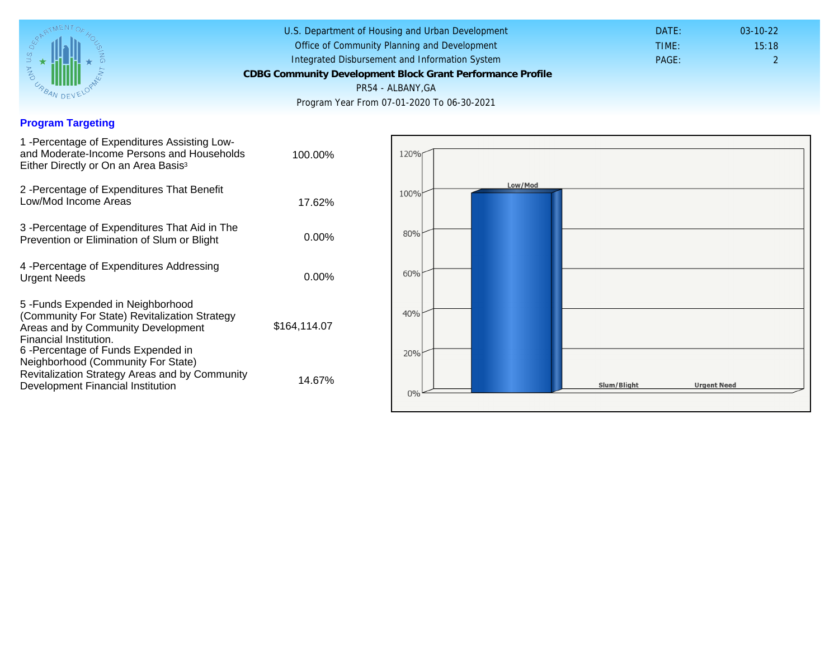## Program Targeting

| 1 - Percentage of Expenditures Assisting Low-<br>and Moderate-Income Persons and Households<br>Either Directly or On an Area Basis <sup>3</sup>                                                                                | 100.00%      |  |
|--------------------------------------------------------------------------------------------------------------------------------------------------------------------------------------------------------------------------------|--------------|--|
| 2 - Percentage of Expenditures That Benefit<br>Low/Mod Income Areas                                                                                                                                                            | 17.62%       |  |
| 3 -Percentage of Expenditures That Aid in The<br>Prevention or Elimination of Slum or Blight                                                                                                                                   | 0.00%        |  |
| 4 - Percentage of Expenditures Addressing<br><b>Urgent Needs</b>                                                                                                                                                               | $0.00\%$     |  |
| 5-Funds Expended in Neighborhood<br>(Community For State) Revitalization Strategy<br>Areas and by Community Development<br>Financial Institution.<br>6 - Percentage of Funds Expended in<br>Neighborhood (Community For State) | \$164,114.07 |  |
| Revitalization Strategy Areas and by Community<br>Development Financial Institution                                                                                                                                            | 14.67%       |  |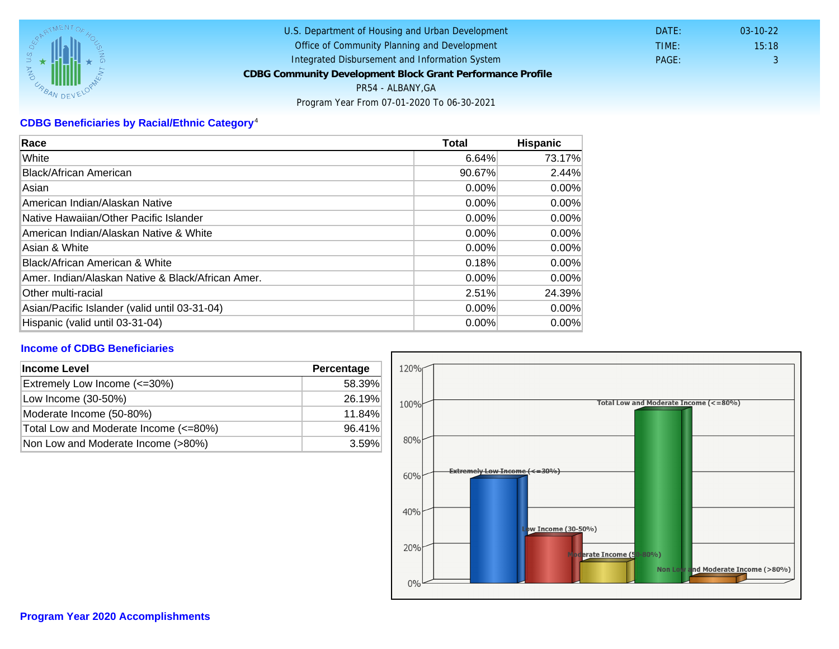# CDBG Beneficiaries by Racial/Ethnic Category <sup>4</sup>

| Race                                              | Total    | Hispanic |
|---------------------------------------------------|----------|----------|
| White                                             | 6.64%    | 73.17%   |
| Black/African American                            | 90.67%   | 2.44%    |
| Asian                                             | 0.00%    | $0.00\%$ |
| IAmerican Indian/Alaskan Native                   | 0.00%    | $0.00\%$ |
| lNative Hawaiian/Other Pacific Islander           | $0.00\%$ | $0.00\%$ |
| American Indian/Alaskan Native & White            | 0.00%    | $0.00\%$ |
| Asian & White                                     | 0.00%    | 0.00%    |
| Black/African American & White                    | 0.18%    | $0.00\%$ |
| Amer. Indian/Alaskan Native & Black/African Amer. | $0.00\%$ | $0.00\%$ |
| <b>Other multi-racial</b>                         | 2.51%    | 24.39%   |
| Asian/Pacific Islander (valid until 03-31-04)     | 0.00%    | 0.00%    |
| Hispanic (valid until 03-31-04)                   | 0.00%    | 0.00%    |

### Income of CDBG Beneficiaries

| Income Level                          | Percentage |  |
|---------------------------------------|------------|--|
| Extremely Low Income (<=30%)          | 58.39%     |  |
| Low Income (30-50%)                   | 26.19%     |  |
| Moderate Income (50-80%)              | 11.84%     |  |
| Total Low and Moderate Income (<=80%) | 96.41%     |  |
| Non Low and Moderate Income (>80%)    | 3.59%      |  |